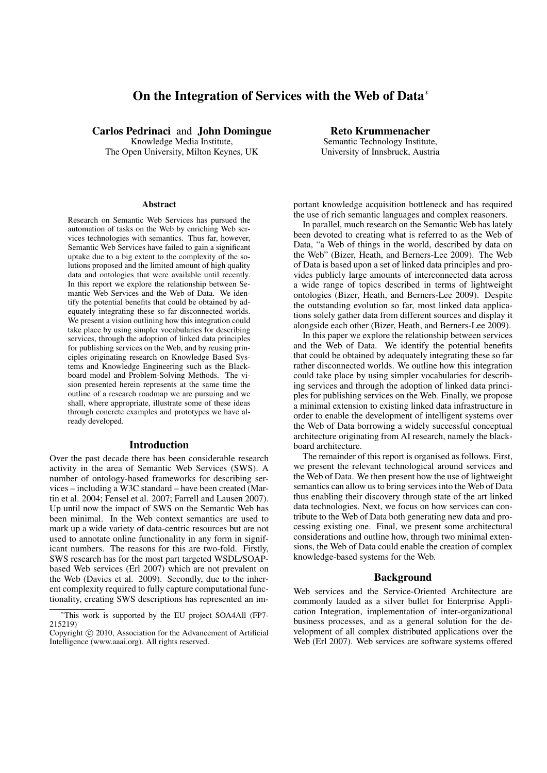# On the Integration of Services with the Web of Data<sup>∗</sup>

Carlos Pedrinaci and John Domingue Knowledge Media Institute,

The Open University, Milton Keynes, UK

#### Abstract

Research on Semantic Web Services has pursued the automation of tasks on the Web by enriching Web services technologies with semantics. Thus far, however, Semantic Web Services have failed to gain a significant uptake due to a big extent to the complexity of the solutions proposed and the limited amount of high quality data and ontologies that were available until recently. In this report we explore the relationship between Semantic Web Services and the Web of Data. We identify the potential benefits that could be obtained by adequately integrating these so far disconnected worlds. We present a vision outlining how this integration could take place by using simpler vocabularies for describing services, through the adoption of linked data principles for publishing services on the Web, and by reusing principles originating research on Knowledge Based Systems and Knowledge Engineering such as the Blackboard model and Problem-Solving Methods. The vision presented herein represents at the same time the outline of a research roadmap we are pursuing and we shall, where appropriate, illustrate some of these ideas through concrete examples and prototypes we have already developed.

#### Introduction

Over the past decade there has been considerable research activity in the area of Semantic Web Services (SWS). A number of ontology-based frameworks for describing services – including a W3C standard – have been created (Martin et al. 2004; Fensel et al. 2007; Farrell and Lausen 2007). Up until now the impact of SWS on the Semantic Web has been minimal. In the Web context semantics are used to mark up a wide variety of data-centric resources but are not used to annotate online functionality in any form in significant numbers. The reasons for this are two-fold. Firstly, SWS research has for the most part targeted WSDL/SOAPbased Web services (Erl 2007) which are not prevalent on the Web (Davies et al. 2009). Secondly, due to the inherent complexity required to fully capture computational functionality, creating SWS descriptions has represented an im-

Reto Krummenacher Semantic Technology Institute, University of Innsbruck, Austria

portant knowledge acquisition bottleneck and has required the use of rich semantic languages and complex reasoners.

In parallel, much research on the Semantic Web has lately been devoted to creating what is referred to as the Web of Data, "a Web of things in the world, described by data on the Web" (Bizer, Heath, and Berners-Lee 2009). The Web of Data is based upon a set of linked data principles and provides publicly large amounts of interconnected data across a wide range of topics described in terms of lightweight ontologies (Bizer, Heath, and Berners-Lee 2009). Despite the outstanding evolution so far, most linked data applications solely gather data from different sources and display it alongside each other (Bizer, Heath, and Berners-Lee 2009).

In this paper we explore the relationship between services and the Web of Data. We identify the potential benefits that could be obtained by adequately integrating these so far rather disconnected worlds. We outline how this integration could take place by using simpler vocabularies for describing services and through the adoption of linked data principles for publishing services on the Web. Finally, we propose a minimal extension to existing linked data infrastructure in order to enable the development of intelligent systems over the Web of Data borrowing a widely successful conceptual architecture originating from AI research, namely the blackboard architecture.

The remainder of this report is organised as follows. First, we present the relevant technological around services and the Web of Data. We then present how the use of lightweight semantics can allow us to bring services into the Web of Data thus enabling their discovery through state of the art linked data technologies. Next, we focus on how services can contribute to the Web of Data both generating new data and processing existing one. Final, we present some architectural considerations and outline how, through two minimal extensions, the Web of Data could enable the creation of complex knowledge-based systems for the Web.

#### Background

Web services and the Service-Oriented Architecture are commonly lauded as a silver bullet for Enterprise Application Integration, implementation of inter-organizational business processes, and as a general solution for the development of all complex distributed applications over the Web (Erl 2007). Web services are software systems offered

<sup>∗</sup>This work is supported by the EU project SOA4All (FP7- 215219)

Copyright © 2010, Association for the Advancement of Artificial Intelligence (www.aaai.org). All rights reserved.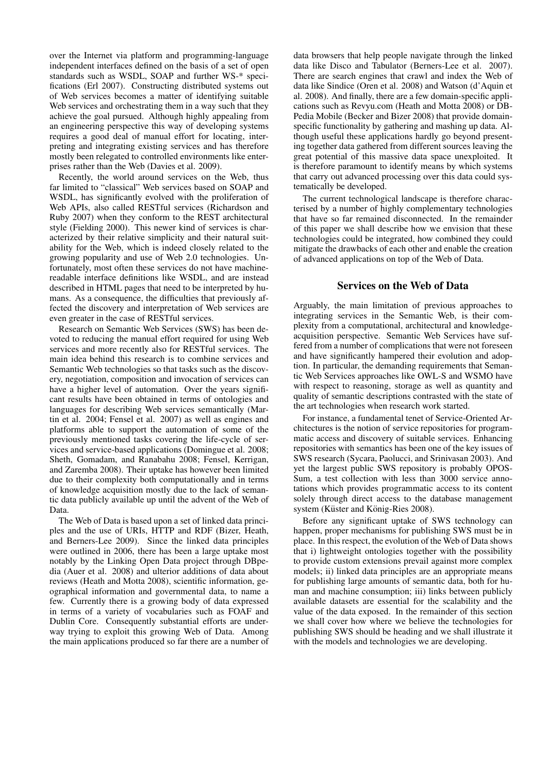over the Internet via platform and programming-language independent interfaces defined on the basis of a set of open standards such as WSDL, SOAP and further WS-\* specifications (Erl 2007). Constructing distributed systems out of Web services becomes a matter of identifying suitable Web services and orchestrating them in a way such that they achieve the goal pursued. Although highly appealing from an engineering perspective this way of developing systems requires a good deal of manual effort for locating, interpreting and integrating existing services and has therefore mostly been relegated to controlled environments like enterprises rather than the Web (Davies et al. 2009).

Recently, the world around services on the Web, thus far limited to "classical" Web services based on SOAP and WSDL, has significantly evolved with the proliferation of Web APIs, also called RESTful services (Richardson and Ruby 2007) when they conform to the REST architectural style (Fielding 2000). This newer kind of services is characterized by their relative simplicity and their natural suitability for the Web, which is indeed closely related to the growing popularity and use of Web 2.0 technologies. Unfortunately, most often these services do not have machinereadable interface definitions like WSDL, and are instead described in HTML pages that need to be interpreted by humans. As a consequence, the difficulties that previously affected the discovery and interpretation of Web services are even greater in the case of RESTful services.

Research on Semantic Web Services (SWS) has been devoted to reducing the manual effort required for using Web services and more recently also for RESTful services. The main idea behind this research is to combine services and Semantic Web technologies so that tasks such as the discovery, negotiation, composition and invocation of services can have a higher level of automation. Over the years significant results have been obtained in terms of ontologies and languages for describing Web services semantically (Martin et al. 2004; Fensel et al. 2007) as well as engines and platforms able to support the automation of some of the previously mentioned tasks covering the life-cycle of services and service-based applications (Domingue et al. 2008; Sheth, Gomadam, and Ranabahu 2008; Fensel, Kerrigan, and Zaremba 2008). Their uptake has however been limited due to their complexity both computationally and in terms of knowledge acquisition mostly due to the lack of semantic data publicly available up until the advent of the Web of Data.

The Web of Data is based upon a set of linked data principles and the use of URIs, HTTP and RDF (Bizer, Heath, and Berners-Lee 2009). Since the linked data principles were outlined in 2006, there has been a large uptake most notably by the Linking Open Data project through DBpedia (Auer et al. 2008) and ulterior additions of data about reviews (Heath and Motta 2008), scientific information, geographical information and governmental data, to name a few. Currently there is a growing body of data expressed in terms of a variety of vocabularies such as FOAF and Dublin Core. Consequently substantial efforts are underway trying to exploit this growing Web of Data. Among the main applications produced so far there are a number of

data browsers that help people navigate through the linked data like Disco and Tabulator (Berners-Lee et al. 2007). There are search engines that crawl and index the Web of data like Sindice (Oren et al. 2008) and Watson (d'Aquin et al. 2008). And finally, there are a few domain-specific applications such as Revyu.com (Heath and Motta 2008) or DB-Pedia Mobile (Becker and Bizer 2008) that provide domainspecific functionality by gathering and mashing up data. Although useful these applications hardly go beyond presenting together data gathered from different sources leaving the great potential of this massive data space unexploited. It is therefore paramount to identify means by which systems that carry out advanced processing over this data could systematically be developed.

The current technological landscape is therefore characterised by a number of highly complementary technologies that have so far remained disconnected. In the remainder of this paper we shall describe how we envision that these technologies could be integrated, how combined they could mitigate the drawbacks of each other and enable the creation of advanced applications on top of the Web of Data.

# Services on the Web of Data

Arguably, the main limitation of previous approaches to integrating services in the Semantic Web, is their complexity from a computational, architectural and knowledgeacquisition perspective. Semantic Web Services have suffered from a number of complications that were not foreseen and have significantly hampered their evolution and adoption. In particular, the demanding requirements that Semantic Web Services approaches like OWL-S and WSMO have with respect to reasoning, storage as well as quantity and quality of semantic descriptions contrasted with the state of the art technologies when research work started.

For instance, a fundamental tenet of Service-Oriented Architectures is the notion of service repositories for programmatic access and discovery of suitable services. Enhancing repositories with semantics has been one of the key issues of SWS research (Sycara, Paolucci, and Srinivasan 2003). And yet the largest public SWS repository is probably OPOS-Sum, a test collection with less than 3000 service annotations which provides programmatic access to its content solely through direct access to the database management system (Küster and König-Ries 2008).

Before any significant uptake of SWS technology can happen, proper mechanisms for publishing SWS must be in place. In this respect, the evolution of the Web of Data shows that i) lightweight ontologies together with the possibility to provide custom extensions prevail against more complex models; ii) linked data principles are an appropriate means for publishing large amounts of semantic data, both for human and machine consumption; iii) links between publicly available datasets are essential for the scalability and the value of the data exposed. In the remainder of this section we shall cover how where we believe the technologies for publishing SWS should be heading and we shall illustrate it with the models and technologies we are developing.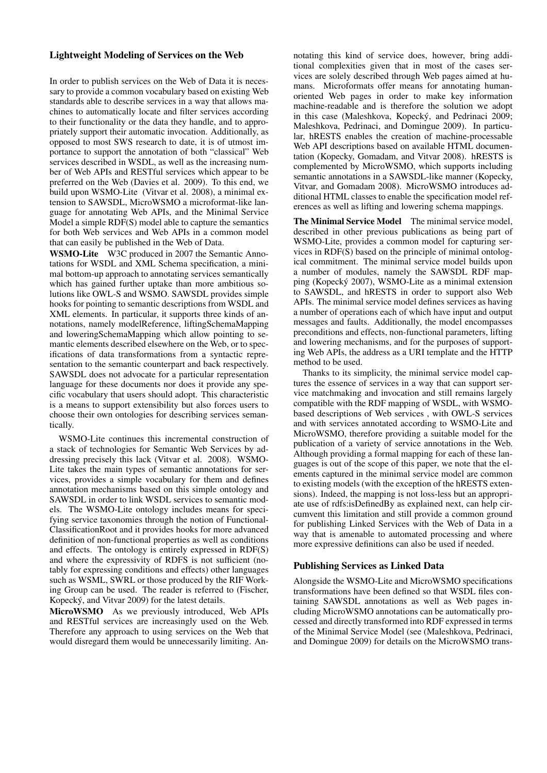## Lightweight Modeling of Services on the Web

In order to publish services on the Web of Data it is necessary to provide a common vocabulary based on existing Web standards able to describe services in a way that allows machines to automatically locate and filter services according to their functionality or the data they handle, and to appropriately support their automatic invocation. Additionally, as opposed to most SWS research to date, it is of utmost importance to support the annotation of both "classical" Web services described in WSDL, as well as the increasing number of Web APIs and RESTful services which appear to be preferred on the Web (Davies et al. 2009). To this end, we build upon WSMO-Lite (Vitvar et al. 2008), a minimal extension to SAWSDL, MicroWSMO a microformat-like language for annotating Web APIs, and the Minimal Service Model a simple RDF(S) model able to capture the semantics for both Web services and Web APIs in a common model that can easily be published in the Web of Data.

WSMO-Lite W3C produced in 2007 the Semantic Annotations for WSDL and XML Schema specification, a minimal bottom-up approach to annotating services semantically which has gained further uptake than more ambitious solutions like OWL-S and WSMO. SAWSDL provides simple hooks for pointing to semantic descriptions from WSDL and XML elements. In particular, it supports three kinds of annotations, namely modelReference, liftingSchemaMapping and loweringSchemaMapping which allow pointing to semantic elements described elsewhere on the Web, or to specifications of data transformations from a syntactic representation to the semantic counterpart and back respectively. SAWSDL does not advocate for a particular representation language for these documents nor does it provide any specific vocabulary that users should adopt. This characteristic is a means to support extensibility but also forces users to choose their own ontologies for describing services semantically.

WSMO-Lite continues this incremental construction of a stack of technologies for Semantic Web Services by addressing precisely this lack (Vitvar et al. 2008). WSMO-Lite takes the main types of semantic annotations for services, provides a simple vocabulary for them and defines annotation mechanisms based on this simple ontology and SAWSDL in order to link WSDL services to semantic models. The WSMO-Lite ontology includes means for specifying service taxonomies through the notion of Functional-ClassificationRoot and it provides hooks for more advanced definition of non-functional properties as well as conditions and effects. The ontology is entirely expressed in RDF(S) and where the expressivity of RDFS is not sufficient (notably for expressing conditions and effects) other languages such as WSML, SWRL or those produced by the RIF Working Group can be used. The reader is referred to (Fischer, Kopecký, and Vitvar 2009) for the latest details.

MicroWSMO As we previously introduced, Web APIs and RESTful services are increasingly used on the Web. Therefore any approach to using services on the Web that would disregard them would be unnecessarily limiting. An-

notating this kind of service does, however, bring additional complexities given that in most of the cases services are solely described through Web pages aimed at humans. Microformats offer means for annotating humanoriented Web pages in order to make key information machine-readable and is therefore the solution we adopt in this case (Maleshkova, Kopecký, and Pedrinaci 2009; Maleshkova, Pedrinaci, and Domingue 2009). In particular, hRESTS enables the creation of machine-processable Web API descriptions based on available HTML documentation (Kopecky, Gomadam, and Vitvar 2008). hRESTS is complemented by MicroWSMO, which supports including semantic annotations in a SAWSDL-like manner (Kopecky, Vitvar, and Gomadam 2008). MicroWSMO introduces additional HTML classes to enable the specification model references as well as lifting and lowering schema mappings.

The Minimal Service Model The minimal service model, described in other previous publications as being part of WSMO-Lite, provides a common model for capturing services in RDF(S) based on the principle of minimal ontological commitment. The minimal service model builds upon a number of modules, namely the SAWSDL RDF mapping (Kopecký 2007), WSMO-Lite as a minimal extension to SAWSDL, and hRESTS in order to support also Web APIs. The minimal service model defines services as having a number of operations each of which have input and output messages and faults. Additionally, the model encompasses preconditions and effects, non-functional parameters, lifting and lowering mechanisms, and for the purposes of supporting Web APIs, the address as a URI template and the HTTP method to be used.

Thanks to its simplicity, the minimal service model captures the essence of services in a way that can support service matchmaking and invocation and still remains largely compatible with the RDF mapping of WSDL, with WSMObased descriptions of Web services , with OWL-S services and with services annotated according to WSMO-Lite and MicroWSMO, therefore providing a suitable model for the publication of a variety of service annotations in the Web. Although providing a formal mapping for each of these languages is out of the scope of this paper, we note that the elements captured in the minimal service model are common to existing models (with the exception of the hRESTS extensions). Indeed, the mapping is not loss-less but an appropriate use of rdfs:isDefinedBy as explained next, can help circumvent this limitation and still provide a common ground for publishing Linked Services with the Web of Data in a way that is amenable to automated processing and where more expressive definitions can also be used if needed.

## Publishing Services as Linked Data

Alongside the WSMO-Lite and MicroWSMO specifications transformations have been defined so that WSDL files containing SAWSDL annotations as well as Web pages including MicroWSMO annotations can be automatically processed and directly transformed into RDF expressed in terms of the Minimal Service Model (see (Maleshkova, Pedrinaci, and Domingue 2009) for details on the MicroWSMO trans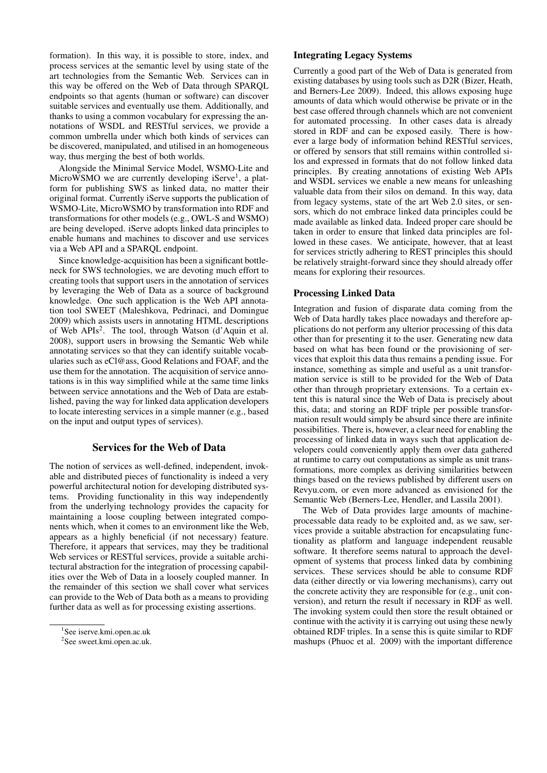formation). In this way, it is possible to store, index, and process services at the semantic level by using state of the art technologies from the Semantic Web. Services can in this way be offered on the Web of Data through SPARQL endpoints so that agents (human or software) can discover suitable services and eventually use them. Additionally, and thanks to using a common vocabulary for expressing the annotations of WSDL and RESTful services, we provide a common umbrella under which both kinds of services can be discovered, manipulated, and utilised in an homogeneous way, thus merging the best of both worlds.

Alongside the Minimal Service Model, WSMO-Lite and MicroWSMO we are currently developing iServe<sup>1</sup>, a platform for publishing SWS as linked data, no matter their original format. Currently iServe supports the publication of WSMO-Lite, MicroWSMO by transformation into RDF and transformations for other models (e.g., OWL-S and WSMO) are being developed. iServe adopts linked data principles to enable humans and machines to discover and use services via a Web API and a SPARQL endpoint.

Since knowledge-acquisition has been a significant bottleneck for SWS technologies, we are devoting much effort to creating tools that support users in the annotation of services by leveraging the Web of Data as a source of background knowledge. One such application is the Web API annotation tool SWEET (Maleshkova, Pedrinaci, and Domingue 2009) which assists users in annotating HTML descriptions of Web APIs<sup>2</sup>. The tool, through Watson (d'Aquin et al. 2008), support users in browsing the Semantic Web while annotating services so that they can identify suitable vocabularies such as eCl@ass, Good Relations and FOAF, and the use them for the annotation. The acquisition of service annotations is in this way simplified while at the same time links between service annotations and the Web of Data are established, paving the way for linked data application developers to locate interesting services in a simple manner (e.g., based on the input and output types of services).

# Services for the Web of Data

The notion of services as well-defined, independent, invokable and distributed pieces of functionality is indeed a very powerful architectural notion for developing distributed systems. Providing functionality in this way independently from the underlying technology provides the capacity for maintaining a loose coupling between integrated components which, when it comes to an environment like the Web, appears as a highly beneficial (if not necessary) feature. Therefore, it appears that services, may they be traditional Web services or RESTful services, provide a suitable architectural abstraction for the integration of processing capabilities over the Web of Data in a loosely coupled manner. In the remainder of this section we shall cover what services can provide to the Web of Data both as a means to providing further data as well as for processing existing assertions.

## Integrating Legacy Systems

Currently a good part of the Web of Data is generated from existing databases by using tools such as D2R (Bizer, Heath, and Berners-Lee 2009). Indeed, this allows exposing huge amounts of data which would otherwise be private or in the best case offered through channels which are not convenient for automated processing. In other cases data is already stored in RDF and can be exposed easily. There is however a large body of information behind RESTful services, or offered by sensors that still remains within controlled silos and expressed in formats that do not follow linked data principles. By creating annotations of existing Web APIs and WSDL services we enable a new means for unleashing valuable data from their silos on demand. In this way, data from legacy systems, state of the art Web 2.0 sites, or sensors, which do not embrace linked data principles could be made available as linked data. Indeed proper care should be taken in order to ensure that linked data principles are followed in these cases. We anticipate, however, that at least for services strictly adhering to REST principles this should be relatively straight-forward since they should already offer means for exploring their resources.

#### Processing Linked Data

Integration and fusion of disparate data coming from the Web of Data hardly takes place nowadays and therefore applications do not perform any ulterior processing of this data other than for presenting it to the user. Generating new data based on what has been found or the provisioning of services that exploit this data thus remains a pending issue. For instance, something as simple and useful as a unit transformation service is still to be provided for the Web of Data other than through proprietary extensions. To a certain extent this is natural since the Web of Data is precisely about this, data; and storing an RDF triple per possible transformation result would simply be absurd since there are infinite possibilities. There is, however, a clear need for enabling the processing of linked data in ways such that application developers could conveniently apply them over data gathered at runtime to carry out computations as simple as unit transformations, more complex as deriving similarities between things based on the reviews published by different users on Revyu.com, or even more advanced as envisioned for the Semantic Web (Berners-Lee, Hendler, and Lassila 2001).

The Web of Data provides large amounts of machineprocessable data ready to be exploited and, as we saw, services provide a suitable abstraction for encapsulating functionality as platform and language independent reusable software. It therefore seems natural to approach the development of systems that process linked data by combining services. These services should be able to consume RDF data (either directly or via lowering mechanisms), carry out the concrete activity they are responsible for (e.g., unit conversion), and return the result if necessary in RDF as well. The invoking system could then store the result obtained or continue with the activity it is carrying out using these newly obtained RDF triples. In a sense this is quite similar to RDF mashups (Phuoc et al. 2009) with the important difference

<sup>1</sup> See iserve.kmi.open.ac.uk

<sup>&</sup>lt;sup>2</sup>See sweet.kmi.open.ac.uk.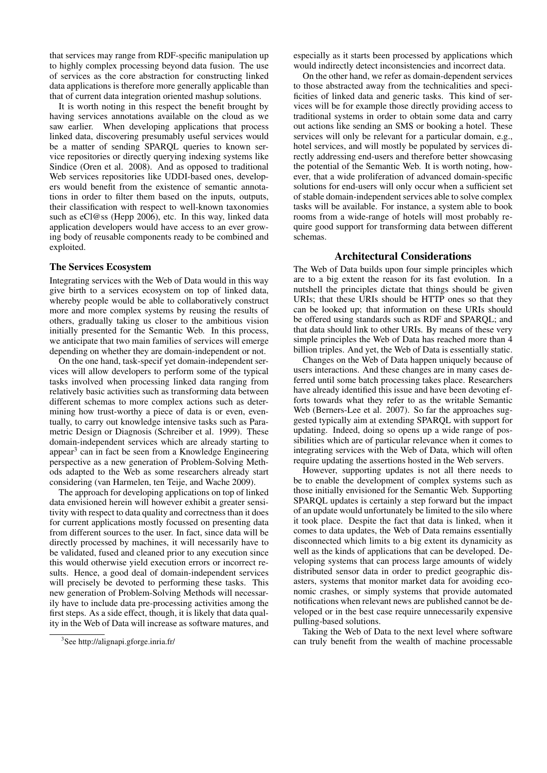that services may range from RDF-specific manipulation up to highly complex processing beyond data fusion. The use of services as the core abstraction for constructing linked data applications is therefore more generally applicable than that of current data integration oriented mashup solutions.

It is worth noting in this respect the benefit brought by having services annotations available on the cloud as we saw earlier. When developing applications that process linked data, discovering presumably useful services would be a matter of sending SPARQL queries to known service repositories or directly querying indexing systems like Sindice (Oren et al. 2008). And as opposed to traditional Web services repositories like UDDI-based ones, developers would benefit from the existence of semantic annotations in order to filter them based on the inputs, outputs, their classification with respect to well-known taxonomies such as eCl@ss (Hepp 2006), etc. In this way, linked data application developers would have access to an ever growing body of reusable components ready to be combined and exploited.

## The Services Ecosystem

Integrating services with the Web of Data would in this way give birth to a services ecosystem on top of linked data, whereby people would be able to collaboratively construct more and more complex systems by reusing the results of others, gradually taking us closer to the ambitious vision initially presented for the Semantic Web. In this process, we anticipate that two main families of services will emerge depending on whether they are domain-independent or not.

On the one hand, task-specif yet domain-independent services will allow developers to perform some of the typical tasks involved when processing linked data ranging from relatively basic activities such as transforming data between different schemas to more complex actions such as determining how trust-worthy a piece of data is or even, eventually, to carry out knowledge intensive tasks such as Parametric Design or Diagnosis (Schreiber et al. 1999). These domain-independent services which are already starting to appear<sup>3</sup> can in fact be seen from a Knowledge Engineering perspective as a new generation of Problem-Solving Methods adapted to the Web as some researchers already start considering (van Harmelen, ten Teije, and Wache 2009).

The approach for developing applications on top of linked data envisioned herein will however exhibit a greater sensitivity with respect to data quality and correctness than it does for current applications mostly focussed on presenting data from different sources to the user. In fact, since data will be directly processed by machines, it will necessarily have to be validated, fused and cleaned prior to any execution since this would otherwise yield execution errors or incorrect results. Hence, a good deal of domain-independent services will precisely be devoted to performing these tasks. This new generation of Problem-Solving Methods will necessarily have to include data pre-processing activities among the first steps. As a side effect, though, it is likely that data quality in the Web of Data will increase as software matures, and

especially as it starts been processed by applications which would indirectly detect inconsistencies and incorrect data.

On the other hand, we refer as domain-dependent services to those abstracted away from the technicalities and specificities of linked data and generic tasks. This kind of services will be for example those directly providing access to traditional systems in order to obtain some data and carry out actions like sending an SMS or booking a hotel. These services will only be relevant for a particular domain, e.g., hotel services, and will mostly be populated by services directly addressing end-users and therefore better showcasing the potential of the Semantic Web. It is worth noting, however, that a wide proliferation of advanced domain-specific solutions for end-users will only occur when a sufficient set of stable domain-independent services able to solve complex tasks will be available. For instance, a system able to book rooms from a wide-range of hotels will most probably require good support for transforming data between different schemas.

## Architectural Considerations

The Web of Data builds upon four simple principles which are to a big extent the reason for its fast evolution. In a nutshell the principles dictate that things should be given URIs; that these URIs should be HTTP ones so that they can be looked up; that information on these URIs should be offered using standards such as RDF and SPARQL; and that data should link to other URIs. By means of these very simple principles the Web of Data has reached more than 4 billion triples. And yet, the Web of Data is essentially static.

Changes on the Web of Data happen uniquely because of users interactions. And these changes are in many cases deferred until some batch processing takes place. Researchers have already identified this issue and have been devoting efforts towards what they refer to as the writable Semantic Web (Berners-Lee et al. 2007). So far the approaches suggested typically aim at extending SPARQL with support for updating. Indeed, doing so opens up a wide range of possibilities which are of particular relevance when it comes to integrating services with the Web of Data, which will often require updating the assertions hosted in the Web servers.

However, supporting updates is not all there needs to be to enable the development of complex systems such as those initially envisioned for the Semantic Web. Supporting SPARQL updates is certainly a step forward but the impact of an update would unfortunately be limited to the silo where it took place. Despite the fact that data is linked, when it comes to data updates, the Web of Data remains essentially disconnected which limits to a big extent its dynamicity as well as the kinds of applications that can be developed. Developing systems that can process large amounts of widely distributed sensor data in order to predict geographic disasters, systems that monitor market data for avoiding economic crashes, or simply systems that provide automated notifications when relevant news are published cannot be developed or in the best case require unnecessarily expensive pulling-based solutions.

Taking the Web of Data to the next level where software can truly benefit from the wealth of machine processable

<sup>3</sup> See http://alignapi.gforge.inria.fr/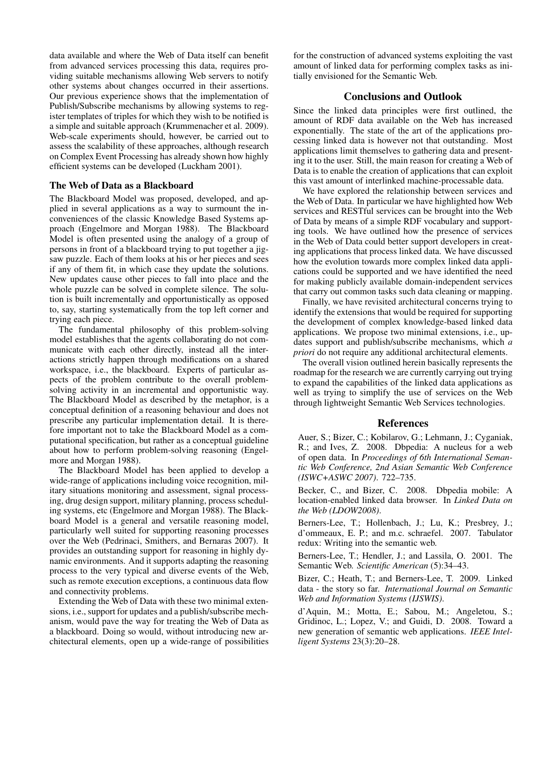data available and where the Web of Data itself can benefit from advanced services processing this data, requires providing suitable mechanisms allowing Web servers to notify other systems about changes occurred in their assertions. Our previous experience shows that the implementation of Publish/Subscribe mechanisms by allowing systems to register templates of triples for which they wish to be notified is a simple and suitable approach (Krummenacher et al. 2009). Web-scale experiments should, however, be carried out to assess the scalability of these approaches, although research on Complex Event Processing has already shown how highly efficient systems can be developed (Luckham 2001).

#### The Web of Data as a Blackboard

The Blackboard Model was proposed, developed, and applied in several applications as a way to surmount the inconveniences of the classic Knowledge Based Systems approach (Engelmore and Morgan 1988). The Blackboard Model is often presented using the analogy of a group of persons in front of a blackboard trying to put together a jigsaw puzzle. Each of them looks at his or her pieces and sees if any of them fit, in which case they update the solutions. New updates cause other pieces to fall into place and the whole puzzle can be solved in complete silence. The solution is built incrementally and opportunistically as opposed to, say, starting systematically from the top left corner and trying each piece.

The fundamental philosophy of this problem-solving model establishes that the agents collaborating do not communicate with each other directly, instead all the interactions strictly happen through modifications on a shared workspace, i.e., the blackboard. Experts of particular aspects of the problem contribute to the overall problemsolving activity in an incremental and opportunistic way. The Blackboard Model as described by the metaphor, is a conceptual definition of a reasoning behaviour and does not prescribe any particular implementation detail. It is therefore important not to take the Blackboard Model as a computational specification, but rather as a conceptual guideline about how to perform problem-solving reasoning (Engelmore and Morgan 1988).

The Blackboard Model has been applied to develop a wide-range of applications including voice recognition, military situations monitoring and assessment, signal processing, drug design support, military planning, process scheduling systems, etc (Engelmore and Morgan 1988). The Blackboard Model is a general and versatile reasoning model, particularly well suited for supporting reasoning processes over the Web (Pedrinaci, Smithers, and Bernaras 2007). It provides an outstanding support for reasoning in highly dynamic environments. And it supports adapting the reasoning process to the very typical and diverse events of the Web, such as remote execution exceptions, a continuous data flow and connectivity problems.

Extending the Web of Data with these two minimal extensions, i.e., support for updates and a publish/subscribe mechanism, would pave the way for treating the Web of Data as a blackboard. Doing so would, without introducing new architectural elements, open up a wide-range of possibilities for the construction of advanced systems exploiting the vast amount of linked data for performing complex tasks as initially envisioned for the Semantic Web.

## Conclusions and Outlook

Since the linked data principles were first outlined, the amount of RDF data available on the Web has increased exponentially. The state of the art of the applications processing linked data is however not that outstanding. Most applications limit themselves to gathering data and presenting it to the user. Still, the main reason for creating a Web of Data is to enable the creation of applications that can exploit this vast amount of interlinked machine-processable data.

We have explored the relationship between services and the Web of Data. In particular we have highlighted how Web services and RESTful services can be brought into the Web of Data by means of a simple RDF vocabulary and supporting tools. We have outlined how the presence of services in the Web of Data could better support developers in creating applications that process linked data. We have discussed how the evolution towards more complex linked data applications could be supported and we have identified the need for making publicly available domain-independent services that carry out common tasks such data cleaning or mapping.

Finally, we have revisited architectural concerns trying to identify the extensions that would be required for supporting the development of complex knowledge-based linked data applications. We propose two minimal extensions, i.e., updates support and publish/subscribe mechanisms, which *a priori* do not require any additional architectural elements.

The overall vision outlined herein basically represents the roadmap for the research we are currently carrying out trying to expand the capabilities of the linked data applications as well as trying to simplify the use of services on the Web through lightweight Semantic Web Services technologies.

#### References

Auer, S.; Bizer, C.; Kobilarov, G.; Lehmann, J.; Cyganiak, R.; and Ives, Z. 2008. Dbpedia: A nucleus for a web of open data. In *Proceedings of 6th International Semantic Web Conference, 2nd Asian Semantic Web Conference (ISWC+ASWC 2007)*. 722–735.

Becker, C., and Bizer, C. 2008. Dbpedia mobile: A location-enabled linked data browser. In *Linked Data on the Web (LDOW2008)*.

Berners-Lee, T.; Hollenbach, J.; Lu, K.; Presbrey, J.; d'ommeaux, E. P.; and m.c. schraefel. 2007. Tabulator redux: Writing into the semantic web.

Berners-Lee, T.; Hendler, J.; and Lassila, O. 2001. The Semantic Web. *Scientific American* (5):34–43.

Bizer, C.; Heath, T.; and Berners-Lee, T. 2009. Linked data - the story so far. *International Journal on Semantic Web and Information Systems (IJSWIS)*.

d'Aquin, M.; Motta, E.; Sabou, M.; Angeletou, S.; Gridinoc, L.; Lopez, V.; and Guidi, D. 2008. Toward a new generation of semantic web applications. *IEEE Intelligent Systems* 23(3):20–28.